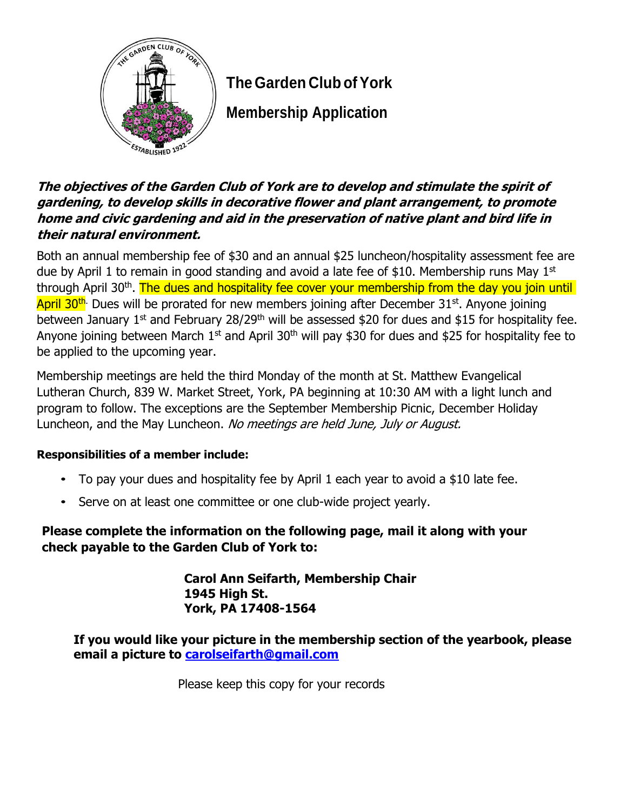

## **The Garden Club ofYork**

**Membership Application**

## **The objectives of the Garden Club of York are to develop and stimulate the spirit of gardening, to develop skills in decorative flower and plant arrangement, to promote home and civic gardening and aid in the preservation of native plant and bird life in their natural environment.**

Both an annual membership fee of \$30 and an annual \$25 luncheon/hospitality assessment fee are due by April 1 to remain in good standing and avoid a late fee of \$10. Membership runs May 1st through April 30<sup>th</sup>. The dues and hospitality fee cover your membership from the day you join until April 30<sup>th.</sup> Dues will be prorated for new members joining after December 31<sup>st</sup>. Anyone joining between January 1<sup>st</sup> and February 28/29<sup>th</sup> will be assessed \$20 for dues and \$15 for hospitality fee. Anyone joining between March  $1^{st}$  and April 30<sup>th</sup> will pay \$30 for dues and \$25 for hospitality fee to be applied to the upcoming year.

Membership meetings are held the third Monday of the month at St. Matthew Evangelical Lutheran Church, 839 W. Market Street, York, PA beginning at 10:30 AM with a light lunch and program to follow. The exceptions are the September Membership Picnic, December Holiday Luncheon, and the May Luncheon. No meetings are held June, July or August.

## **Responsibilities of a member include:**

- To pay your dues and hospitality fee by April 1 each year to avoid a \$10 late fee.
- Serve on at least one committee or one club-wide project yearly.

## **Please complete the information on the following page, mail it along with your check payable to the Garden Club of York to:**

**Carol Ann Seifarth, Membership Chair 1945 High St. York, PA 17408-1564**

**If you would like your picture in the membership section of the yearbook, please email a picture to [carolseifarth@gmail.com](mailto:carolseifarth@gmail.com)**

Please keep this copy for your records